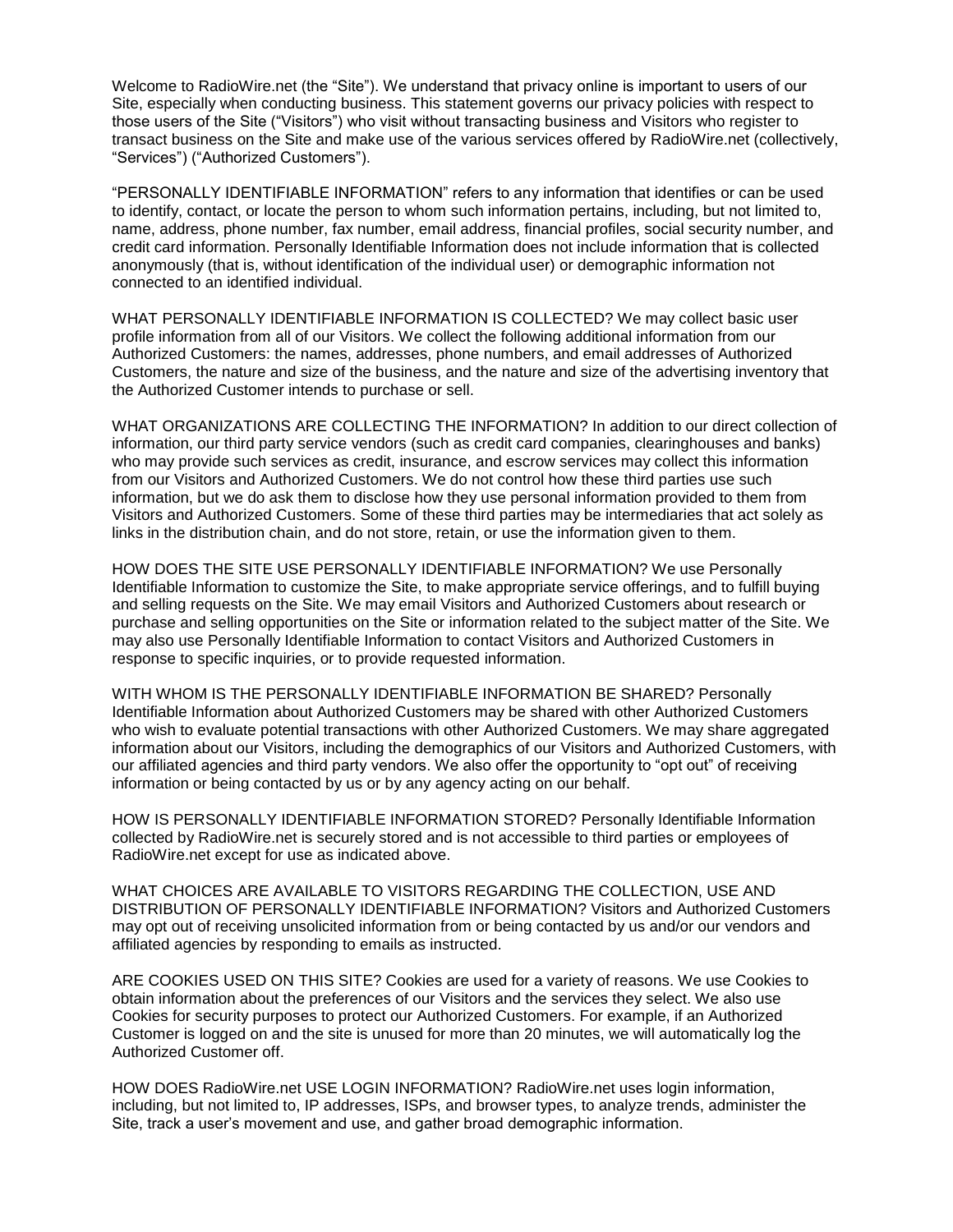Welcome to RadioWire.net (the "Site"). We understand that privacy online is important to users of our Site, especially when conducting business. This statement governs our privacy policies with respect to those users of the Site ("Visitors") who visit without transacting business and Visitors who register to transact business on the Site and make use of the various services offered by RadioWire.net (collectively, "Services") ("Authorized Customers").

"PERSONALLY IDENTIFIABLE INFORMATION" refers to any information that identifies or can be used to identify, contact, or locate the person to whom such information pertains, including, but not limited to, name, address, phone number, fax number, email address, financial profiles, social security number, and credit card information. Personally Identifiable Information does not include information that is collected anonymously (that is, without identification of the individual user) or demographic information not connected to an identified individual.

WHAT PERSONALLY IDENTIFIABLE INFORMATION IS COLLECTED? We may collect basic user profile information from all of our Visitors. We collect the following additional information from our Authorized Customers: the names, addresses, phone numbers, and email addresses of Authorized Customers, the nature and size of the business, and the nature and size of the advertising inventory that the Authorized Customer intends to purchase or sell.

WHAT ORGANIZATIONS ARE COLLECTING THE INFORMATION? In addition to our direct collection of information, our third party service vendors (such as credit card companies, clearinghouses and banks) who may provide such services as credit, insurance, and escrow services may collect this information from our Visitors and Authorized Customers. We do not control how these third parties use such information, but we do ask them to disclose how they use personal information provided to them from Visitors and Authorized Customers. Some of these third parties may be intermediaries that act solely as links in the distribution chain, and do not store, retain, or use the information given to them.

HOW DOES THE SITE USE PERSONALLY IDENTIFIABLE INFORMATION? We use Personally Identifiable Information to customize the Site, to make appropriate service offerings, and to fulfill buying and selling requests on the Site. We may email Visitors and Authorized Customers about research or purchase and selling opportunities on the Site or information related to the subject matter of the Site. We may also use Personally Identifiable Information to contact Visitors and Authorized Customers in response to specific inquiries, or to provide requested information.

WITH WHOM IS THE PERSONALLY IDENTIFIABLE INFORMATION BE SHARED? Personally Identifiable Information about Authorized Customers may be shared with other Authorized Customers who wish to evaluate potential transactions with other Authorized Customers. We may share aggregated information about our Visitors, including the demographics of our Visitors and Authorized Customers, with our affiliated agencies and third party vendors. We also offer the opportunity to "opt out" of receiving information or being contacted by us or by any agency acting on our behalf.

HOW IS PERSONALLY IDENTIFIABLE INFORMATION STORED? Personally Identifiable Information collected by RadioWire.net is securely stored and is not accessible to third parties or employees of RadioWire.net except for use as indicated above.

WHAT CHOICES ARE AVAILABLE TO VISITORS REGARDING THE COLLECTION, USE AND DISTRIBUTION OF PERSONALLY IDENTIFIABLE INFORMATION? Visitors and Authorized Customers may opt out of receiving unsolicited information from or being contacted by us and/or our vendors and affiliated agencies by responding to emails as instructed.

ARE COOKIES USED ON THIS SITE? Cookies are used for a variety of reasons. We use Cookies to obtain information about the preferences of our Visitors and the services they select. We also use Cookies for security purposes to protect our Authorized Customers. For example, if an Authorized Customer is logged on and the site is unused for more than 20 minutes, we will automatically log the Authorized Customer off.

HOW DOES RadioWire.net USE LOGIN INFORMATION? RadioWire.net uses login information, including, but not limited to, IP addresses, ISPs, and browser types, to analyze trends, administer the Site, track a user's movement and use, and gather broad demographic information.